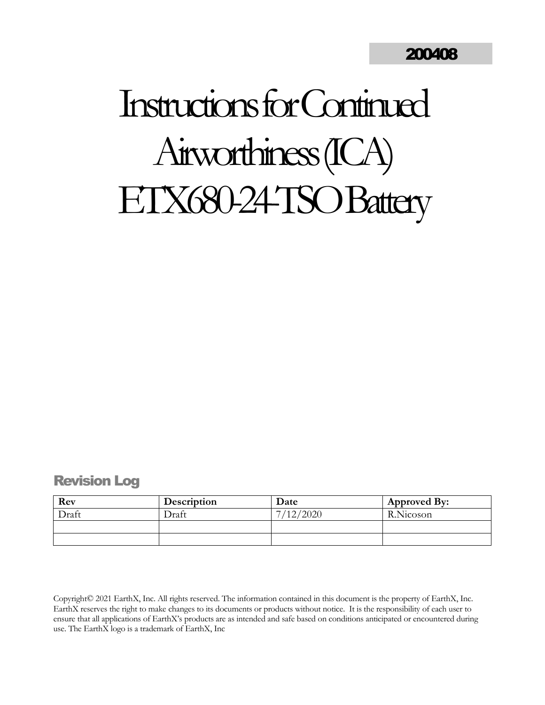# Instructions forContinued Airworthiness (ICA) ETX680-24-TSO Battery

# <span id="page-0-0"></span>Revision Log

| Rev   | Description  | Date      | Approved By: |
|-------|--------------|-----------|--------------|
| Draft | <b>Draft</b> | 7/12/2020 | R.Nicoson    |
|       |              |           |              |
|       |              |           |              |

Copyright© 2021 EarthX, Inc. All rights reserved. The information contained in this document is the property of EarthX, Inc. EarthX reserves the right to make changes to its documents or products without notice. It is the responsibility of each user to ensure that all applications of EarthX's products are as intended and safe based on conditions anticipated or encountered during use. The EarthX logo is a trademark of EarthX, Inc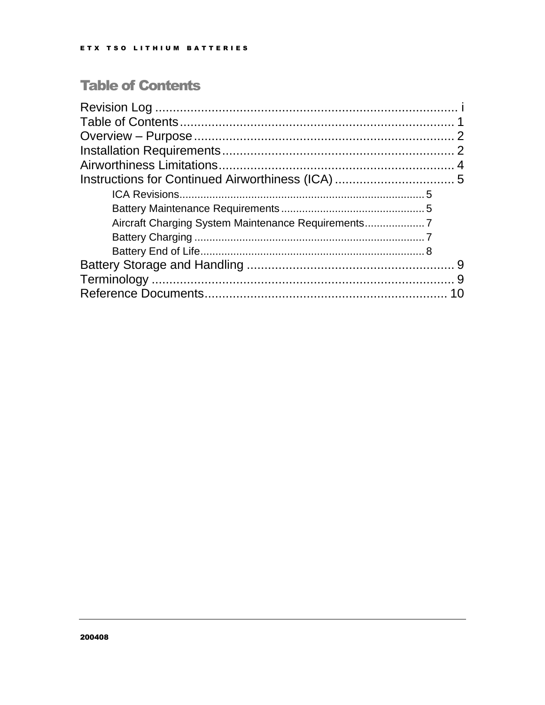# <span id="page-1-0"></span>**Table of Contents**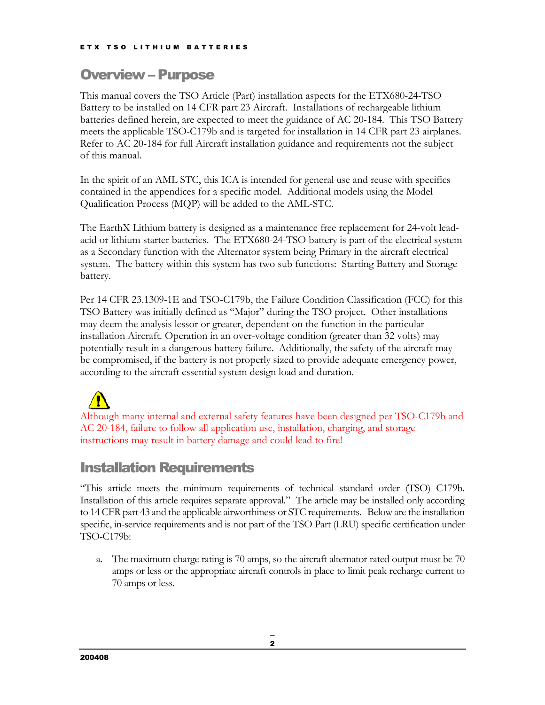# <span id="page-2-0"></span>Overview – Purpose

This manual covers the TSO Article (Part) installation aspects for the ETX680-24-TSO Battery to be installed on 14 CFR part 23 Aircraft. Installations of rechargeable lithium batteries defined herein, are expected to meet the guidance of AC 20-184. This TSO Battery meets the applicable TSO-C179b and is targeted for installation in 14 CFR part 23 airplanes. Refer to AC 20-184 for full Aircraft installation guidance and requirements not the subject of this manual.

In the spirit of an AML STC, this ICA is intended for general use and reuse with specifics contained in the appendices for a specific model. Additional models using the Model Qualification Process (MQP) will be added to the AML-STC.

The EarthX Lithium battery is designed as a maintenance free replacement for 24-volt leadacid or lithium starter batteries. The ETX680-24-TSO battery is part of the electrical system as a Secondary function with the Alternator system being Primary in the aircraft electrical system. The battery within this system has two sub functions: Starting Battery and Storage battery.

Per 14 CFR 23.1309-1E and TSO-C179b, the Failure Condition Classification (FCC) for this TSO Battery was initially defined as "Major" during the TSO project. Other installations may deem the analysis lessor or greater, dependent on the function in the particular installation Aircraft. Operation in an over-voltage condition (greater than 32 volts) may potentially result in a dangerous battery failure. Additionally, the safety of the aircraft may be compromised, if the battery is not properly sized to provide adequate emergency power, according to the aircraft essential system design load and duration.

Although many internal and external safety features have been designed per TSO-C179b and AC 20-184, failure to follow all application use, installation, charging, and storage instructions may result in battery damage and could lead to fire!

# <span id="page-2-1"></span>Installation Requirements

"This article meets the minimum requirements of technical standard order (TSO) C179b. Installation of this article requires separate approval." The article may be installed only according to 14 CFR part 43 and the applicable airworthiness or STC requirements. Below are the installation specific, in-service requirements and is not part of the TSO Part (LRU) specific certification under TSO-C179b:

a. The maximum charge rating is 70 amps, so the aircraft alternator rated output must be 70 amps or less or the appropriate aircraft controls in place to limit peak recharge current to 70 amps or less.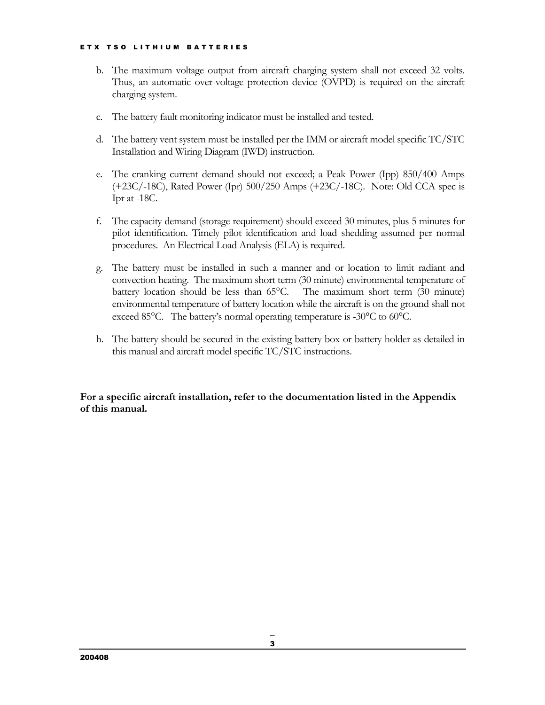- b. The maximum voltage output from aircraft charging system shall not exceed 32 volts. Thus, an automatic over-voltage protection device (OVPD) is required on the aircraft charging system.
- c. The battery fault monitoring indicator must be installed and tested.
- d. The battery vent system must be installed per the IMM or aircraft model specific TC/STC Installation and Wiring Diagram (IWD) instruction.
- e. The cranking current demand should not exceed; a Peak Power (Ipp) 850/400 Amps (+23C/-18C), Rated Power (Ipr) 500/250 Amps (+23C/-18C). Note: Old CCA spec is Ipr at -18C.
- f. The capacity demand (storage requirement) should exceed 30 minutes, plus 5 minutes for pilot identification. Timely pilot identification and load shedding assumed per normal procedures. An Electrical Load Analysis (ELA) is required.
- g. The battery must be installed in such a manner and or location to limit radiant and convection heating. The maximum short term (30 minute) environmental temperature of battery location should be less than 65°C. The maximum short term (30 minute) environmental temperature of battery location while the aircraft is on the ground shall not exceed 85°C. The battery's normal operating temperature is -30°C to 60°C.
- h. The battery should be secured in the existing battery box or battery holder as detailed in this manual and aircraft model specific TC/STC instructions.

**For a specific aircraft installation, refer to the documentation listed in the Appendix of this manual.**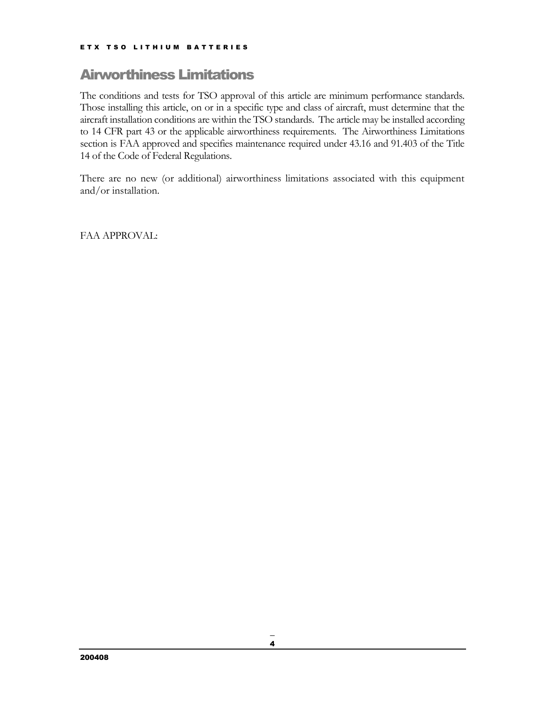# <span id="page-4-0"></span>Airworthiness Limitations

The conditions and tests for TSO approval of this article are minimum performance standards. Those installing this article, on or in a specific type and class of aircraft, must determine that the aircraft installation conditions are within the TSO standards. The article may be installed according to 14 CFR part 43 or the applicable airworthiness requirements. The Airworthiness Limitations section is FAA approved and specifies maintenance required under 43.16 and 91.403 of the Title 14 of the Code of Federal Regulations.

There are no new (or additional) airworthiness limitations associated with this equipment and/or installation.

FAA APPROVAL: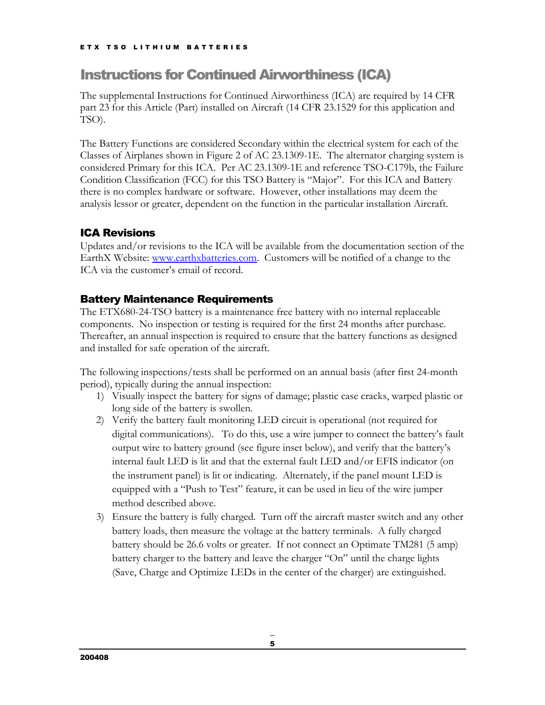# <span id="page-5-0"></span>Instructions for Continued Airworthiness (ICA)

The supplemental Instructions for Continued Airworthiness (ICA) are required by 14 CFR part 23 for this Article (Part) installed on Aircraft (14 CFR 23.1529 for this application and TSO).

The Battery Functions are considered Secondary within the electrical system for each of the Classes of Airplanes shown in Figure 2 of AC 23.1309-1E. The alternator charging system is considered Primary for this ICA. Per AC 23.1309-1E and reference TSO-C179b, the Failure Condition Classification (FCC) for this TSO Battery is "Major". For this ICA and Battery there is no complex hardware or software. However, other installations may deem the analysis lessor or greater, dependent on the function in the particular installation Aircraft.

## <span id="page-5-1"></span>ICA Revisions

Updates and/or revisions to the ICA will be available from the documentation section of the EarthX Website: [www.earthxbatteries.com.](http://www.earthxbatteries.com/) Customers will be notified of a change to the ICA via the customer's email of record.

#### <span id="page-5-2"></span>Battery Maintenance Requirements

The ETX680-24-TSO battery is a maintenance free battery with no internal replaceable components. No inspection or testing is required for the first 24 months after purchase. Thereafter, an annual inspection is required to ensure that the battery functions as designed and installed for safe operation of the aircraft.

The following inspections/tests shall be performed on an annual basis (after first 24-month period), typically during the annual inspection:

- 1) Visually inspect the battery for signs of damage; plastic case cracks, warped plastic or long side of the battery is swollen.
- 2) Verify the battery fault monitoring LED circuit is operational (not required for digital communications). To do this, use a wire jumper to connect the battery's fault output wire to battery ground (see figure inset below), and verify that the battery's internal fault LED is lit and that the external fault LED and/or EFIS indicator (on the instrument panel) is lit or indicating. Alternately, if the panel mount LED is equipped with a "Push to Test" feature, it can be used in lieu of the wire jumper method described above.
- 3) Ensure the battery is fully charged. Turn off the aircraft master switch and any other battery loads, then measure the voltage at the battery terminals. A fully charged battery should be 26.6 volts or greater. If not connect an Optimate TM281 (5 amp) battery charger to the battery and leave the charger "On" until the charge lights (Save, Charge and Optimize LEDs in the center of the charger) are extinguished.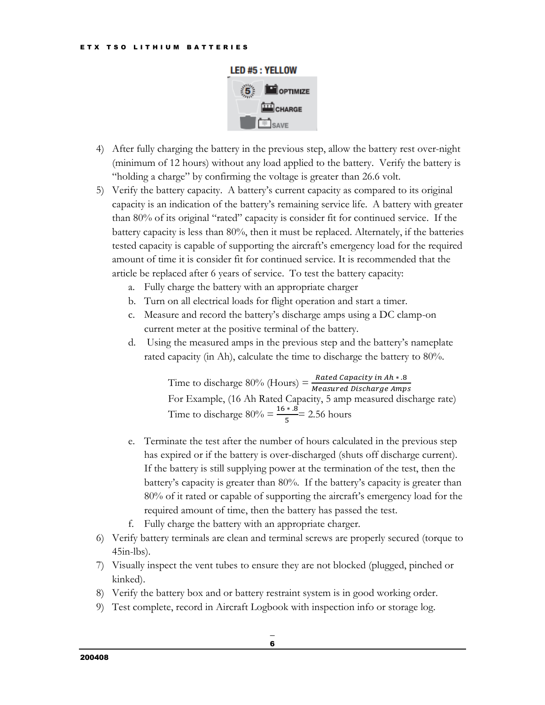

- 4) After fully charging the battery in the previous step, allow the battery rest over-night (minimum of 12 hours) without any load applied to the battery. Verify the battery is "holding a charge" by confirming the voltage is greater than 26.6 volt.
- 5) Verify the battery capacity. A battery's current capacity as compared to its original capacity is an indication of the battery's remaining service life. A battery with greater than 80% of its original "rated" capacity is consider fit for continued service. If the battery capacity is less than 80%, then it must be replaced. Alternately, if the batteries tested capacity is capable of supporting the aircraft's emergency load for the required amount of time it is consider fit for continued service. It is recommended that the article be replaced after 6 years of service. To test the battery capacity:
	- a. Fully charge the battery with an appropriate charger
	- b. Turn on all electrical loads for flight operation and start a timer.
	- c. Measure and record the battery's discharge amps using a DC clamp-on current meter at the positive terminal of the battery.
	- d. Using the measured amps in the previous step and the battery's nameplate rated capacity (in Ah), calculate the time to discharge the battery to 80%.

Time to discharge  $80\%$  (Hours) =  $\frac{Rated \text{ Capacity in } Ah * .8}{Measured \text{ Distance Amps}}$ For Example, (16 Ah Rated Capacity, 5 amp measured discharge rate) Time to discharge  $80\% = \frac{16 \times .8}{5} = 2.56$  hours

- e. Terminate the test after the number of hours calculated in the previous step has expired or if the battery is over-discharged (shuts off discharge current). If the battery is still supplying power at the termination of the test, then the battery's capacity is greater than 80%. If the battery's capacity is greater than 80% of it rated or capable of supporting the aircraft's emergency load for the required amount of time, then the battery has passed the test.
- f. Fully charge the battery with an appropriate charger.
- 6) Verify battery terminals are clean and terminal screws are properly secured (torque to  $45$ in-lbs).
- 7) Visually inspect the vent tubes to ensure they are not blocked (plugged, pinched or kinked).
- 8) Verify the battery box and or battery restraint system is in good working order.
- 9) Test complete, record in Aircraft Logbook with inspection info or storage log.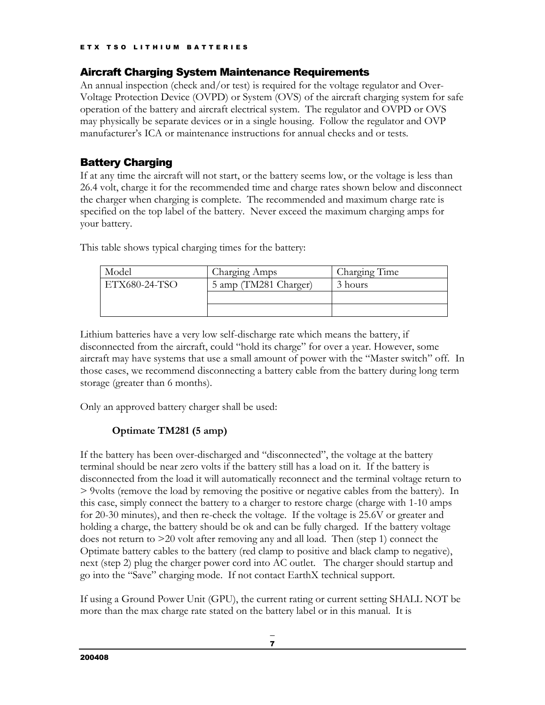#### <span id="page-7-0"></span>Aircraft Charging System Maintenance Requirements

An annual inspection (check and/or test) is required for the voltage regulator and Over-Voltage Protection Device (OVPD) or System (OVS) of the aircraft charging system for safe operation of the battery and aircraft electrical system. The regulator and OVPD or OVS may physically be separate devices or in a single housing. Follow the regulator and OVP manufacturer's ICA or maintenance instructions for annual checks and or tests.

#### <span id="page-7-1"></span>Battery Charging

If at any time the aircraft will not start, or the battery seems low, or the voltage is less than 26.4 volt, charge it for the recommended time and charge rates shown below and disconnect the charger when charging is complete. The recommended and maximum charge rate is specified on the top label of the battery. Never exceed the maximum charging amps for your battery.

This table shows typical charging times for the battery:

| Model         | Charging Amps         | Charging Time |
|---------------|-----------------------|---------------|
| ETX680-24-TSO | 5 amp (TM281 Charger) | 3 hours       |
|               |                       |               |
|               |                       |               |

Lithium batteries have a very low self-discharge rate which means the battery, if disconnected from the aircraft, could "hold its charge" for over a year. However, some aircraft may have systems that use a small amount of power with the "Master switch" off. In those cases, we recommend disconnecting a battery cable from the battery during long term storage (greater than 6 months).

Only an approved battery charger shall be used:

#### **Optimate TM281 (5 amp)**

If the battery has been over-discharged and "disconnected", the voltage at the battery terminal should be near zero volts if the battery still has a load on it. If the battery is disconnected from the load it will automatically reconnect and the terminal voltage return to > 9volts (remove the load by removing the positive or negative cables from the battery). In this case, simply connect the battery to a charger to restore charge (charge with 1-10 amps for 20-30 minutes), and then re-check the voltage. If the voltage is 25.6V or greater and holding a charge, the battery should be ok and can be fully charged. If the battery voltage does not return to >20 volt after removing any and all load. Then (step 1) connect the Optimate battery cables to the battery (red clamp to positive and black clamp to negative), next (step 2) plug the charger power cord into AC outlet. The charger should startup and go into the "Save" charging mode. If not contact EarthX technical support.

If using a Ground Power Unit (GPU), the current rating or current setting SHALL NOT be more than the max charge rate stated on the battery label or in this manual. It is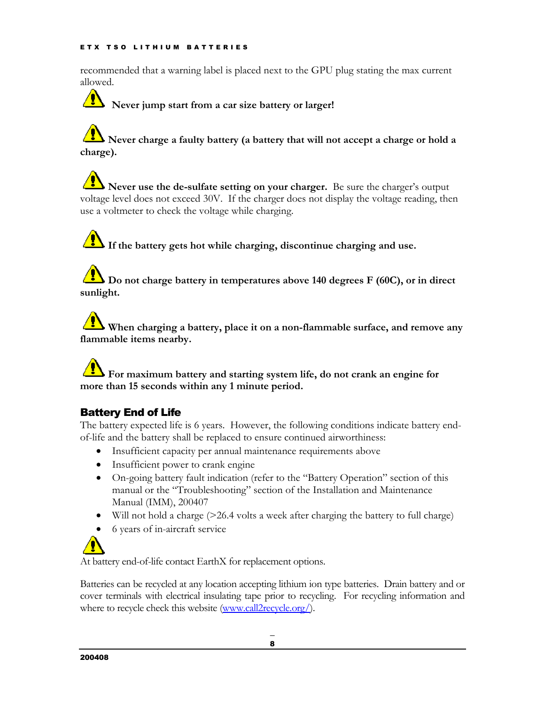recommended that a warning label is placed next to the GPU plug stating the max current allowed.

**Never jump start from a car size battery or larger!**

# **Never charge a faulty battery (a battery that will not accept a charge or hold a charge).**

**Never use the de-sulfate setting on your charger.** Be sure the charger's output voltage level does not exceed 30V. If the charger does not display the voltage reading, then use a voltmeter to check the voltage while charging.

**If the battery gets hot while charging, discontinue charging and use.**

**Do not charge battery in temperatures above 140 degrees F (60C), or in direct sunlight.**

**When charging a battery, place it on a non-flammable surface, and remove any flammable items nearby.**

**For maximum battery and starting system life, do not crank an engine for more than 15 seconds within any 1 minute period.**

### <span id="page-8-0"></span>Battery End of Life

The battery expected life is 6 years. However, the following conditions indicate battery endof-life and the battery shall be replaced to ensure continued airworthiness:

- Insufficient capacity per annual maintenance requirements above
- Insufficient power to crank engine
- On-going battery fault indication (refer to the "Battery Operation" section of this manual or the "Troubleshooting" section of the Installation and Maintenance Manual (IMM), 200407
- Will not hold a charge (>26.4 volts a week after charging the battery to full charge)

• 6 years of in-aircraft service

At battery end-of-life contact EarthX for replacement options.

Batteries can be recycled at any location accepting lithium ion type batteries. Drain battery and or cover terminals with electrical insulating tape prior to recycling. For recycling information and where to recycle check this website [\(www.call2recycle.org/\)](http://www.call2recycle.org/).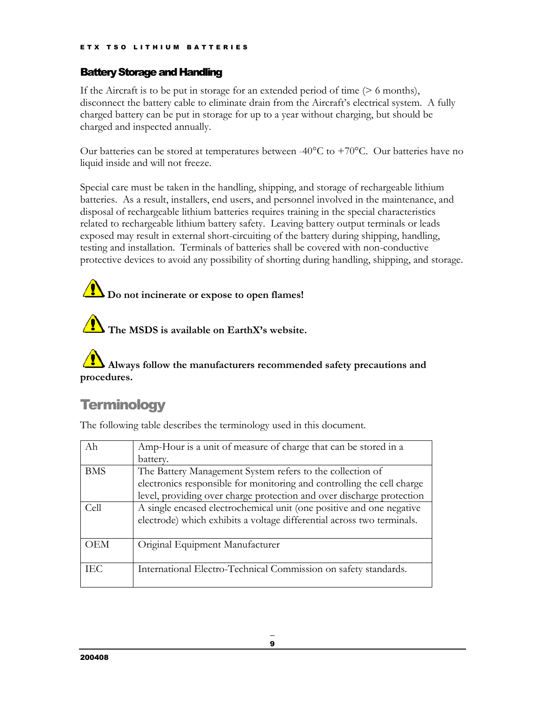#### <span id="page-9-0"></span>Battery Storage and Handling

If the Aircraft is to be put in storage for an extended period of time (> 6 months), disconnect the battery cable to eliminate drain from the Aircraft's electrical system. A fully charged battery can be put in storage for up to a year without charging, but should be charged and inspected annually.

Our batteries can be stored at temperatures between -40 $^{\circ}$ C to +70 $^{\circ}$ C. Our batteries have no liquid inside and will not freeze.

Special care must be taken in the handling, shipping, and storage of rechargeable lithium batteries. As a result, installers, end users, and personnel involved in the maintenance, and disposal of rechargeable lithium batteries requires training in the special characteristics related to rechargeable lithium battery safety. Leaving battery output terminals or leads exposed may result in external short-circuiting of the battery during shipping, handling, testing and installation. Terminals of batteries shall be covered with non-conductive protective devices to avoid any possibility of shorting during handling, shipping, and storage.

# **1)** Do not incinerate or expose to open flames!

**The MSDS is available on EarthX's website.**

# **Always follow the manufacturers recommended safety precautions and procedures.**

# <span id="page-9-1"></span>**Terminology**

The following table describes the terminology used in this document.

| Ah         | Amp-Hour is a unit of measure of charge that can be stored in a        |
|------------|------------------------------------------------------------------------|
|            | battery.                                                               |
| <b>BMS</b> | The Battery Management System refers to the collection of              |
|            | electronics responsible for monitoring and controlling the cell charge |
|            | level, providing over charge protection and over discharge protection  |
| Cell       | A single encased electrochemical unit (one positive and one negative   |
|            | electrode) which exhibits a voltage differential across two terminals. |
|            |                                                                        |
| OEM        | Original Equipment Manufacturer                                        |
|            |                                                                        |
| IEC        | International Electro-Technical Commission on safety standards.        |
|            |                                                                        |